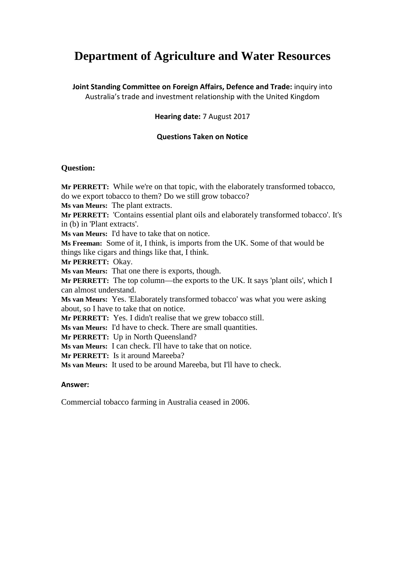# **Department of Agriculture and Water Resources**

**Joint Standing Committee on Foreign Affairs, Defence and Trade:** inquiry into Australia's trade and investment relationship with the United Kingdom

# **Hearing date:** 7 August 2017

# **Questions Taken on Notice**

#### **Question:**

**Mr PERRETT:** While we're on that topic, with the elaborately transformed tobacco, do we export tobacco to them? Do we still grow tobacco? **Ms van Meurs:** The plant extracts. **Mr PERRETT:** 'Contains essential plant oils and elaborately transformed tobacco'. It's in (b) in 'Plant extracts'. **Ms van Meurs:** I'd have to take that on notice. **Ms Freeman:** Some of it, I think, is imports from the UK. Some of that would be things like cigars and things like that, I think. **Mr PERRETT:** Okay. **Ms van Meurs:** That one there is exports, though. **Mr PERRETT:** The top column—the exports to the UK. It says 'plant oils', which I can almost understand. **Ms van Meurs:** Yes. 'Elaborately transformed tobacco' was what you were asking about, so I have to take that on notice. **Mr PERRETT:** Yes. I didn't realise that we grew tobacco still. **Ms van Meurs:** I'd have to check. There are small quantities. **Mr PERRETT:** Up in North Queensland? **Ms van Meurs:** I can check. I'll have to take that on notice. **Mr PERRETT:** Is it around Mareeba? **Ms van Meurs:** It used to be around Mareeba, but I'll have to check.

#### **Answer:**

Commercial tobacco farming in Australia ceased in 2006.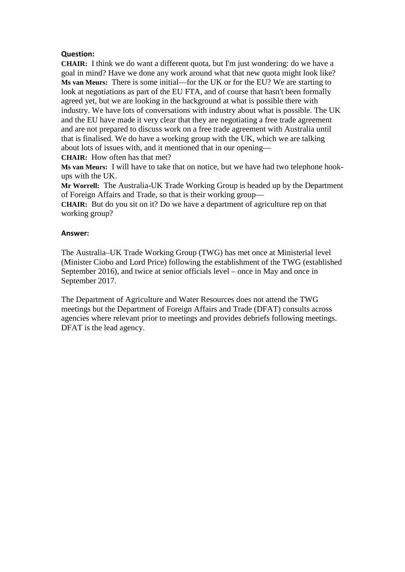### **Question:**

**CHAIR:** I think we do want a different quota, but I'm just wondering: do we have a goal in mind? Have we done any work around what that new quota might look like? **Ms van Meurs:** There is some initial—for the UK or for the EU? We are starting to look at negotiations as part of the EU FTA, and of course that hasn't been formally agreed yet, but we are looking in the background at what is possible there with industry. We have lots of conversations with industry about what is possible. The UK and the EU have made it very clear that they are negotiating a free trade agreement and are not prepared to discuss work on a free trade agreement with Australia until that is finalised. We do have a working group with the UK, which we are talking about lots of issues with, and it mentioned that in our opening—

**CHAIR:** How often has that met?

**Ms van Meurs:** I will have to take that on notice, but we have had two telephone hookups with the UK.

**Mr Worrell:** The Australia-UK Trade Working Group is headed up by the Department of Foreign Affairs and Trade, so that is their working group—

**CHAIR:** But do you sit on it? Do we have a department of agriculture rep on that working group?

#### **Answer:**

The Australia–UK Trade Working Group (TWG) has met once at Ministerial level (Minister Ciobo and Lord Price) following the establishment of the TWG (established September 2016), and twice at senior officials level – once in May and once in September 2017.

The Department of Agriculture and Water Resources does not attend the TWG meetings but the Department of Foreign Affairs and Trade (DFAT) consults across agencies where relevant prior to meetings and provides debriefs following meetings. DFAT is the lead agency.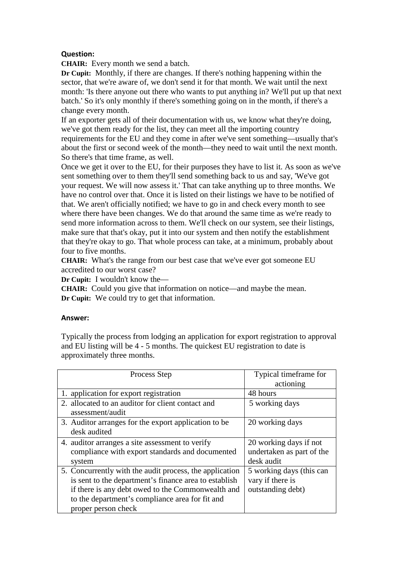# **Question:**

**CHAIR:** Every month we send a batch.

**Dr Cupit:** Monthly, if there are changes. If there's nothing happening within the sector, that we're aware of, we don't send it for that month. We wait until the next month: 'Is there anyone out there who wants to put anything in? We'll put up that next batch.' So it's only monthly if there's something going on in the month, if there's a change every month.

If an exporter gets all of their documentation with us, we know what they're doing, we've got them ready for the list, they can meet all the importing country

requirements for the EU and they come in after we've sent something—usually that's about the first or second week of the month—they need to wait until the next month. So there's that time frame, as well.

Once we get it over to the EU, for their purposes they have to list it. As soon as we've sent something over to them they'll send something back to us and say, 'We've got your request. We will now assess it.' That can take anything up to three months. We have no control over that. Once it is listed on their listings we have to be notified of that. We aren't officially notified; we have to go in and check every month to see where there have been changes. We do that around the same time as we're ready to send more information across to them. We'll check on our system, see their listings, make sure that that's okay, put it into our system and then notify the establishment that they're okay to go. That whole process can take, at a minimum, probably about four to five months.

**CHAIR:** What's the range from our best case that we've ever got someone EU accredited to our worst case?

**Dr Cupit:** I wouldn't know the—

**CHAIR:** Could you give that information on notice—and maybe the mean. **Dr Cupit:** We could try to get that information.

#### **Answer:**

Typically the process from lodging an application for export registration to approval and EU listing will be 4 - 5 months. The quickest EU registration to date is approximately three months.

| Process Step                                                                                                                                                                                                                                    | Typical timeframe for<br>actioning                                |
|-------------------------------------------------------------------------------------------------------------------------------------------------------------------------------------------------------------------------------------------------|-------------------------------------------------------------------|
| 1. application for export registration                                                                                                                                                                                                          | 48 hours                                                          |
| 2. allocated to an auditor for client contact and<br>assessment/audit                                                                                                                                                                           | 5 working days                                                    |
| 3. Auditor arranges for the export application to be<br>desk audited                                                                                                                                                                            | 20 working days                                                   |
| 4. auditor arranges a site assessment to verify<br>compliance with export standards and documented<br>system                                                                                                                                    | 20 working days if not<br>undertaken as part of the<br>desk audit |
| 5. Concurrently with the audit process, the application<br>is sent to the department's finance area to establish<br>if there is any debt owed to the Commonwealth and<br>to the department's compliance area for fit and<br>proper person check | 5 working days (this can<br>vary if there is<br>outstanding debt) |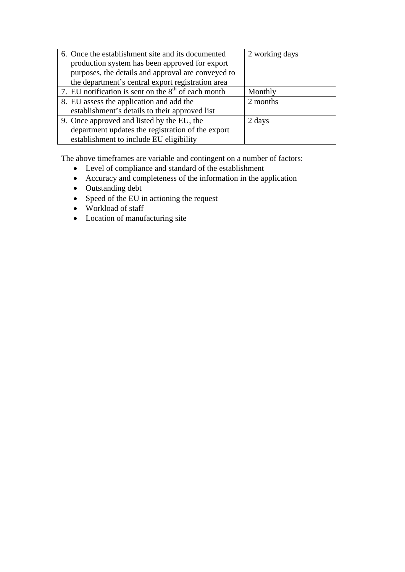| 6. Once the establishment site and its documented     | 2 working days |
|-------------------------------------------------------|----------------|
| production system has been approved for export        |                |
| purposes, the details and approval are conveyed to    |                |
| the department's central export registration area     |                |
| 7. EU notification is sent on the $8th$ of each month | Monthly        |
| 8. EU assess the application and add the              | 2 months       |
| establishment's details to their approved list        |                |
| 9. Once approved and listed by the EU, the            | 2 days         |
| department updates the registration of the export     |                |
| establishment to include EU eligibility               |                |

The above timeframes are variable and contingent on a number of factors:

- Level of compliance and standard of the establishment
- Accuracy and completeness of the information in the application
- Outstanding debt
- Speed of the EU in actioning the request
- Workload of staff
- Location of manufacturing site